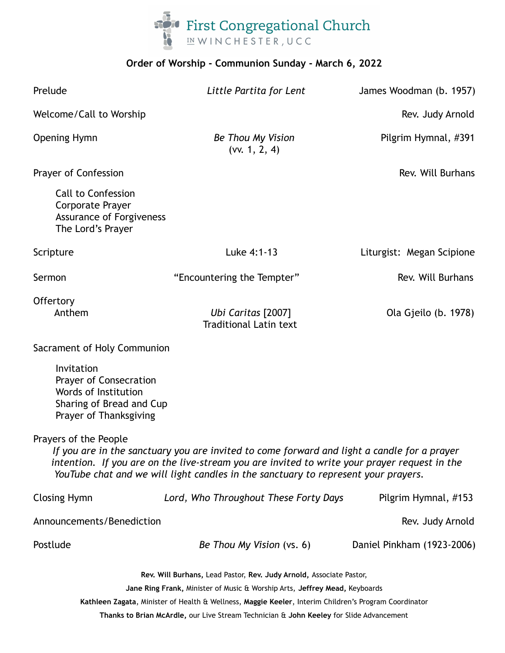

#### **Order of Worship - Communion Sunday - March 6, 2022**

| Prelude                                                                                                                                                                                                                                                                                                    | Little Partita for Lent                             | James Woodman (b. 1957)    |
|------------------------------------------------------------------------------------------------------------------------------------------------------------------------------------------------------------------------------------------------------------------------------------------------------------|-----------------------------------------------------|----------------------------|
| Welcome/Call to Worship                                                                                                                                                                                                                                                                                    |                                                     | Rev. Judy Arnold           |
| <b>Opening Hymn</b>                                                                                                                                                                                                                                                                                        | Be Thou My Vision<br>(vv. 1, 2, 4)                  | Pilgrim Hymnal, #391       |
| Prayer of Confession                                                                                                                                                                                                                                                                                       |                                                     | Rev. Will Burhans          |
| <b>Call to Confession</b><br>Corporate Prayer<br><b>Assurance of Forgiveness</b><br>The Lord's Prayer                                                                                                                                                                                                      |                                                     |                            |
| Scripture                                                                                                                                                                                                                                                                                                  | Luke 4:1-13                                         | Liturgist: Megan Scipione  |
| Sermon                                                                                                                                                                                                                                                                                                     | "Encountering the Tempter"                          | Rev. Will Burhans          |
| Offertory<br>Anthem                                                                                                                                                                                                                                                                                        | Ubi Caritas [2007]<br><b>Traditional Latin text</b> | Ola Gjeilo (b. 1978)       |
| Sacrament of Holy Communion                                                                                                                                                                                                                                                                                |                                                     |                            |
| Invitation<br>Prayer of Consecration<br>Words of Institution<br>Sharing of Bread and Cup<br>Prayer of Thanksgiving                                                                                                                                                                                         |                                                     |                            |
| Prayers of the People<br>If you are in the sanctuary you are invited to come forward and light a candle for a prayer<br>intention. If you are on the live-stream you are invited to write your prayer request in the<br>YouTube chat and we will light candles in the sanctuary to represent your prayers. |                                                     |                            |
| <b>Closing Hymn</b>                                                                                                                                                                                                                                                                                        | Lord, Who Throughout These Forty Days               | Pilgrim Hymnal, #153       |
| Announcements/Benediction<br>Rev. Judy Arnold                                                                                                                                                                                                                                                              |                                                     |                            |
| Postlude                                                                                                                                                                                                                                                                                                   | Be Thou My Vision (vs. 6)                           | Daniel Pinkham (1923-2006) |
| Rev. Will Burhans, Lead Pastor, Rev. Judy Arnold, Associate Pastor,<br>Jane Ring Frank, Minister of Music & Worship Arts, Jeffrey Mead, Keyboards<br>Kathleen Zagata, Minister of Health & Wellness, Maggie Keeler, Interim Children's Program Coordinator                                                 |                                                     |                            |

**Thanks to Brian McArdle,** our Live Stream Technician & **John Keeley** for Slide Advancement